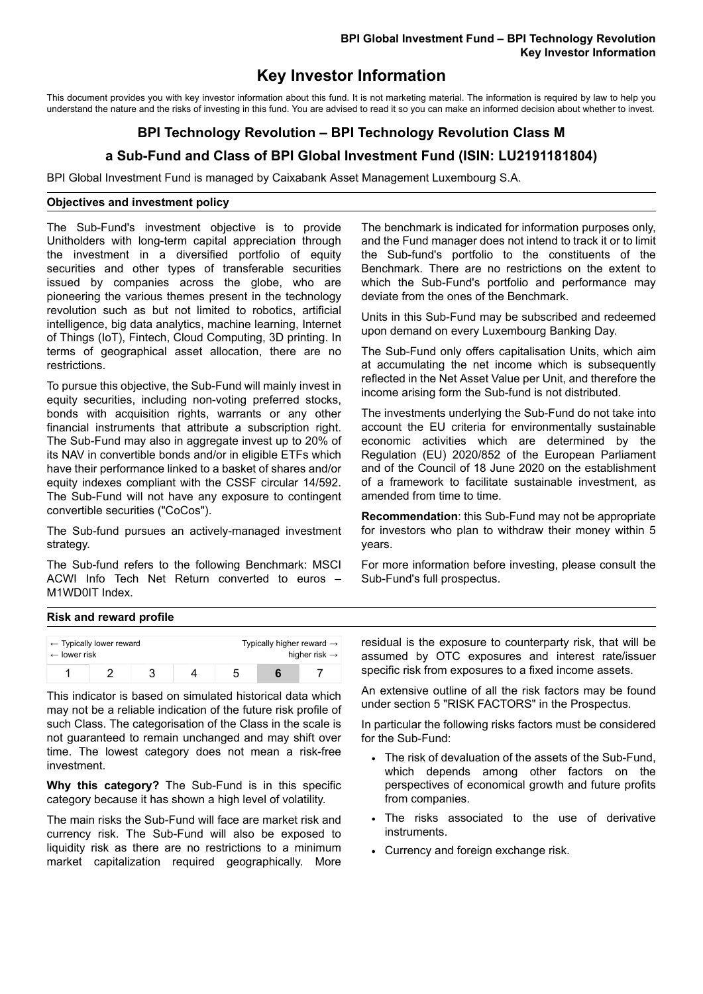## **Key Investor Information**

This document provides you with key investor information about this fund. It is not marketing material. The information is required by law to help you understand the nature and the risks of investing in this fund. You are advised to read it so you can make an informed decision about whether to invest.

# **BPI Technology Revolution – BPI Technology Revolution Class M a Sub-Fund and Class of BPI Global Investment Fund (ISIN: LU2191181804)**

BPI Global Investment Fund is managed by Caixabank Asset Management Luxembourg S.A.

#### **Objectives and investment policy**

The Sub-Fund's investment objective is to provide Unitholders with long-term capital appreciation through the investment in a diversified portfolio of equity securities and other types of transferable securities issued by companies across the globe, who are pioneering the various themes present in the technology revolution such as but not limited to robotics, artificial intelligence, big data analytics, machine learning, Internet of Things (IoT), Fintech, Cloud Computing, 3D printing. In terms of geographical asset allocation, there are no restrictions.

To pursue this objective, the Sub-Fund will mainly invest in equity securities, including non-voting preferred stocks, bonds with acquisition rights, warrants or any other financial instruments that attribute a subscription right. The Sub-Fund may also in aggregate invest up to 20% of its NAV in convertible bonds and/or in eligible ETFs which have their performance linked to a basket of shares and/or equity indexes compliant with the CSSF circular 14/592. The Sub-Fund will not have any exposure to contingent convertible securities ("CoCos").

The Sub-fund pursues an actively-managed investment strategy.

The Sub-fund refers to the following Benchmark: MSCI ACWI Info Tech Net Return converted to euros – M1WD0IT Index.

The benchmark is indicated for information purposes only, and the Fund manager does not intend to track it or to limit the Sub-fund's portfolio to the constituents of the Benchmark. There are no restrictions on the extent to which the Sub-Fund's portfolio and performance may deviate from the ones of the Benchmark.

Units in this Sub-Fund may be subscribed and redeemed upon demand on every Luxembourg Banking Day.

The Sub-Fund only offers capitalisation Units, which aim at accumulating the net income which is subsequently reflected in the Net Asset Value per Unit, and therefore the income arising form the Sub-fund is not distributed.

The investments underlying the Sub-Fund do not take into account the EU criteria for environmentally sustainable economic activities which are determined by the Regulation (EU) 2020/852 of the European Parliament and of the Council of 18 June 2020 on the establishment of a framework to facilitate sustainable investment, as amended from time to time.

**Recommendation**: this Sub-Fund may not be appropriate for investors who plan to withdraw their money within 5 years.

For more information before investing, please consult the Sub-Fund's full prospectus.

#### **Risk and reward profile**

| $\leftarrow$ lower risk | $\leftarrow$ Typically lower reward |  | Typically higher reward $\rightarrow$ | higher risk $\rightarrow$ |
|-------------------------|-------------------------------------|--|---------------------------------------|---------------------------|
|                         |                                     |  |                                       |                           |

This indicator is based on simulated historical data which may not be a reliable indication of the future risk profile of such Class. The categorisation of the Class in the scale is not guaranteed to remain unchanged and may shift over time. The lowest category does not mean a risk-free investment.

**Why this category?** The Sub-Fund is in this specific category because it has shown a high level of volatility.

The main risks the Sub-Fund will face are market risk and currency risk. The Sub-Fund will also be exposed to liquidity risk as there are no restrictions to a minimum market capitalization required geographically. More residual is the exposure to counterparty risk, that will be assumed by OTC exposures and interest rate/issuer specific risk from exposures to a fixed income assets.

An extensive outline of all the risk factors may be found under section 5 "RISK FACTORS" in the Prospectus.

In particular the following risks factors must be considered for the Sub-Fund:

- The risk of devaluation of the assets of the Sub-Fund, which depends among other factors on the perspectives of economical growth and future profits from companies.
- The risks associated to the use of derivative instruments.
- Currency and foreign exchange risk.